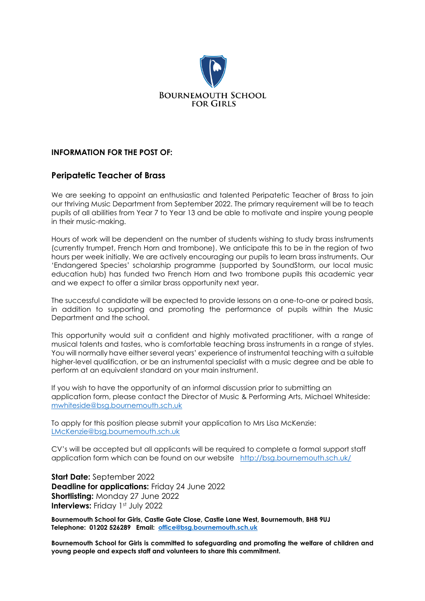

## **INFORMATION FOR THE POST OF:**

# **Peripatetic Teacher of Brass**

We are seeking to appoint an enthusiastic and talented Peripatetic Teacher of Brass to join our thriving Music Department from September 2022. The primary requirement will be to teach pupils of all abilities from Year 7 to Year 13 and be able to motivate and inspire young people in their music-making.

Hours of work will be dependent on the number of students wishing to study brass instruments (currently trumpet, French Horn and trombone). We anticipate this to be in the region of two hours per week initially. We are actively encouraging our pupils to learn brass instruments. Our 'Endangered Species' scholarship programme (supported by SoundStorm, our local music education hub) has funded two French Horn and two trombone pupils this academic year and we expect to offer a similar brass opportunity next year.

The successful candidate will be expected to provide lessons on a one-to-one or paired basis, in addition to supporting and promoting the performance of pupils within the Music Department and the school.

This opportunity would suit a confident and highly motivated practitioner, with a range of musical talents and tastes, who is comfortable teaching brass instruments in a range of styles. You will normally have either several years' experience of instrumental teaching with a suitable higher-level qualification, or be an instrumental specialist with a music degree and be able to perform at an equivalent standard on your main instrument.

If you wish to have the opportunity of an informal discussion prior to submitting an application form, please contact the Director of Music & Performing Arts, Michael Whiteside: [mwhiteside@bsg.bournemouth.sch.uk](mailto:mwhiteside@bsg.bournemouth.sch.uk)

To apply for this position please submit your application to Mrs Lisa McKenzie: [LMcKenzie@bsg.bournemouth.sch.uk](mailto:LMcKenzie@bsg.bournemouth.sch.uk)

CV's will be accepted but all applicants will be required to complete a formal support staff application form which can be found on our website <http://bsg.bournemouth.sch.uk/>

**Start Date:** September 2022 **Deadline for applications:** Friday 24 June 2022 **Shortlisting:** Monday 27 June 2022 **Interviews: Friday 1st July 2022** 

**Bournemouth School for Girls, Castle Gate Close, Castle Lane West, Bournemouth, BH8 9UJ Telephone: 01202 526289 Email: [office@bsg.bournemouth.sch.uk](mailto:office@bsg.bournemouth.sch.uk)**

**Bournemouth School for Girls is committed to safeguarding and promoting the welfare of children and young people and expects staff and volunteers to share this commitment.**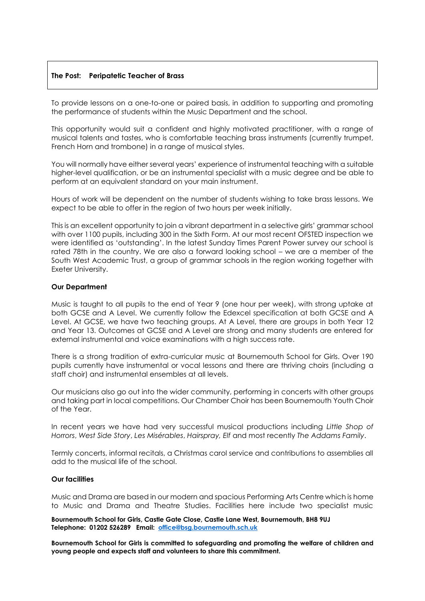### **The Post: Peripatetic Teacher of Brass**

To provide lessons on a one-to-one or paired basis, in addition to supporting and promoting the performance of students within the Music Department and the school.

This opportunity would suit a confident and highly motivated practitioner, with a range of musical talents and tastes, who is comfortable teaching brass instruments (currently trumpet, French Horn and trombone) in a range of musical styles.

You will normally have either several years' experience of instrumental teaching with a suitable higher-level qualification, or be an instrumental specialist with a music degree and be able to perform at an equivalent standard on your main instrument.

Hours of work will be dependent on the number of students wishing to take brass lessons. We expect to be able to offer in the region of two hours per week initially.

This is an excellent opportunity to join a vibrant department in a selective girls' grammar school with over 1100 pupils, including 300 in the Sixth Form. At our most recent OFSTED inspection we were identified as 'outstanding'. In the latest Sunday Times Parent Power survey our school is rated 78th in the country. We are also a forward looking school – we are a member of the South West Academic Trust, a group of grammar schools in the region working together with Exeter University.

#### **Our Department**

Music is taught to all pupils to the end of Year 9 (one hour per week), with strong uptake at both GCSE and A Level. We currently follow the Edexcel specification at both GCSE and A Level. At GCSE, we have two teaching groups. At A Level, there are groups in both Year 12 and Year 13. Outcomes at GCSE and A Level are strong and many students are entered for external instrumental and voice examinations with a high success rate.

There is a strong tradition of extra-curricular music at Bournemouth School for Girls. Over 190 pupils currently have instrumental or vocal lessons and there are thriving choirs (including a staff choir) and instrumental ensembles at all levels.

Our musicians also go out into the wider community, performing in concerts with other groups and taking part in local competitions. Our Chamber Choir has been Bournemouth Youth Choir of the Year.

In recent years we have had very successful musical productions including *Little Shop of Horrors*, *West Side Story*, *Les Misérables*, *Hairspray, Elf* and most recently *The Addams Family*.

Termly concerts, informal recitals, a Christmas carol service and contributions to assemblies all add to the musical life of the school.

#### **Our facilities**

Music and Drama are based in our modern and spacious Performing Arts Centre which is home to Music and Drama and Theatre Studies. Facilities here include two specialist music

**Bournemouth School for Girls, Castle Gate Close, Castle Lane West, Bournemouth, BH8 9UJ Telephone: 01202 526289 Email: [office@bsg.bournemouth.sch.uk](mailto:office@bsg.bournemouth.sch.uk)**

**Bournemouth School for Girls is committed to safeguarding and promoting the welfare of children and young people and expects staff and volunteers to share this commitment.**